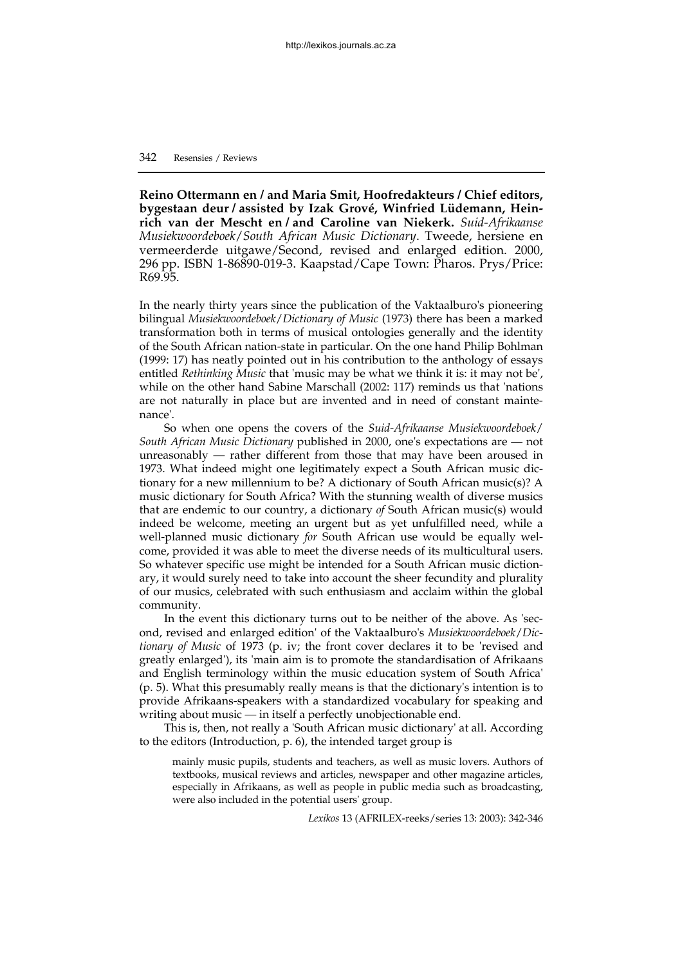## 342 Resensies / Reviews

**Reino Ottermann en / and Maria Smit, Hoofredakteurs / Chief editors, bygestaan deur / assisted by Izak Grové, Winfried Lüdemann, Heinrich van der Mescht en / and Caroline van Niekerk.** *Suid-Afrikaanse Musiekwoordeboek*/*South African Music Dictionary*. Tweede, hersiene en vermeerderde uitgawe/Second, revised and enlarged edition. 2000, 296 pp. ISBN 1-86890-019-3. Kaapstad/Cape Town: Pharos. Prys/Price: R69.95.

In the nearly thirty years since the publication of the Vaktaalburo's pioneering bilingual *Musiekwoordeboek*/*Dictionary of Music* (1973) there has been a marked transformation both in terms of musical ontologies generally and the identity of the South African nation-state in particular. On the one hand Philip Bohlman (1999: 17) has neatly pointed out in his contribution to the anthology of essays entitled *Rethinking Music* that 'music may be what we think it is: it may not be', while on the other hand Sabine Marschall (2002: 117) reminds us that 'nations are not naturally in place but are invented and in need of constant maintenance'.

So when one opens the covers of the *Suid-Afrikaanse Musiekwoordeboek*/ *South African Music Dictionary* published in 2000, one's expectations are — not unreasonably — rather different from those that may have been aroused in 1973. What indeed might one legitimately expect a South African music dictionary for a new millennium to be? A dictionary of South African music(s)? A music dictionary for South Africa? With the stunning wealth of diverse musics that are endemic to our country, a dictionary *of* South African music(s) would indeed be welcome, meeting an urgent but as yet unfulfilled need, while a well-planned music dictionary *for* South African use would be equally welcome, provided it was able to meet the diverse needs of its multicultural users. So whatever specific use might be intended for a South African music dictionary, it would surely need to take into account the sheer fecundity and plurality of our musics, celebrated with such enthusiasm and acclaim within the global community.

In the event this dictionary turns out to be neither of the above. As 'second, revised and enlarged edition' of the Vaktaalburo's *Musiekwoordeboek*/*Dictionary of Music* of 1973 (p. iv; the front cover declares it to be 'revised and greatly enlarged'), its 'main aim is to promote the standardisation of Afrikaans and English terminology within the music education system of South Africa' (p. 5). What this presumably really means is that the dictionary's intention is to provide Afrikaans-speakers with a standardized vocabulary for speaking and writing about music — in itself a perfectly unobjectionable end.

This is, then, not really a 'South African music dictionary' at all. According to the editors (Introduction, p. 6), the intended target group is

 mainly music pupils, students and teachers, as well as music lovers. Authors of textbooks, musical reviews and articles, newspaper and other magazine articles, especially in Afrikaans, as well as people in public media such as broadcasting, were also included in the potential users' group.

*Lexikos* 13 (AFRILEX-reeks/series 13: 2003): 342-346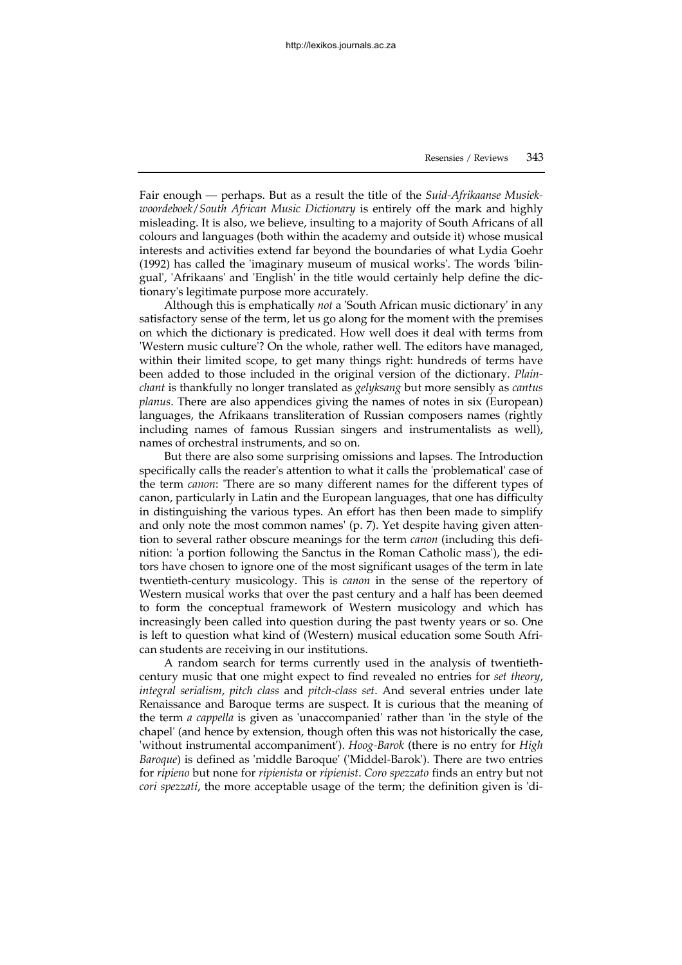Fair enough — perhaps. But as a result the title of the *Suid-Afrikaanse Musiekwoordeboek*/*South African Music Dictionary* is entirely off the mark and highly misleading. It is also, we believe, insulting to a majority of South Africans of all colours and languages (both within the academy and outside it) whose musical interests and activities extend far beyond the boundaries of what Lydia Goehr (1992) has called the 'imaginary museum of musical works'. The words 'bilingual', 'Afrikaans' and 'English' in the title would certainly help define the dictionary's legitimate purpose more accurately.

Although this is emphatically *not* a 'South African music dictionary' in any satisfactory sense of the term, let us go along for the moment with the premises on which the dictionary is predicated. How well does it deal with terms from 'Western music culture'? On the whole, rather well. The editors have managed, within their limited scope, to get many things right: hundreds of terms have been added to those included in the original version of the dictionary. *Plainchant* is thankfully no longer translated as *gelyksang* but more sensibly as *cantus planus*. There are also appendices giving the names of notes in six (European) languages, the Afrikaans transliteration of Russian composers names (rightly including names of famous Russian singers and instrumentalists as well), names of orchestral instruments, and so on.

But there are also some surprising omissions and lapses. The Introduction specifically calls the reader's attention to what it calls the 'problematical' case of the term *canon*: 'There are so many different names for the different types of canon, particularly in Latin and the European languages, that one has difficulty in distinguishing the various types. An effort has then been made to simplify and only note the most common names' (p. 7). Yet despite having given attention to several rather obscure meanings for the term *canon* (including this definition: 'a portion following the Sanctus in the Roman Catholic mass'), the editors have chosen to ignore one of the most significant usages of the term in late twentieth-century musicology. This is *canon* in the sense of the repertory of Western musical works that over the past century and a half has been deemed to form the conceptual framework of Western musicology and which has increasingly been called into question during the past twenty years or so. One is left to question what kind of (Western) musical education some South African students are receiving in our institutions.

A random search for terms currently used in the analysis of twentiethcentury music that one might expect to find revealed no entries for *set theory*, *integral serialism*, *pitch class* and *pitch-class set*. And several entries under late Renaissance and Baroque terms are suspect. It is curious that the meaning of the term *a cappella* is given as 'unaccompanied' rather than 'in the style of the chapel' (and hence by extension, though often this was not historically the case, 'without instrumental accompaniment'). *Hoog-Barok* (there is no entry for *High Baroque*) is defined as 'middle Baroque' ('Middel-Barok'). There are two entries for *ripieno* but none for *ripienista* or *ripienist*. *Coro spezzato* finds an entry but not *cori spezzati*, the more acceptable usage of the term; the definition given is 'di-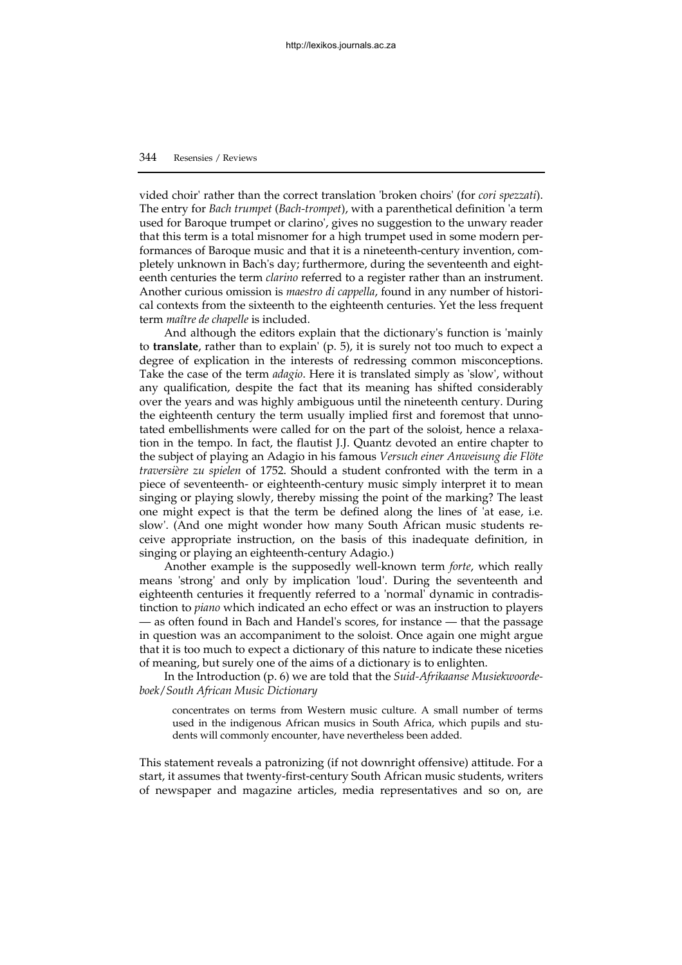## 344 Resensies / Reviews

vided choir' rather than the correct translation 'broken choirs' (for *cori spezzati*). The entry for *Bach trumpet* (*Bach-trompet*), with a parenthetical definition 'a term used for Baroque trumpet or clarino', gives no suggestion to the unwary reader that this term is a total misnomer for a high trumpet used in some modern performances of Baroque music and that it is a nineteenth-century invention, completely unknown in Bach's day; furthermore, during the seventeenth and eighteenth centuries the term *clarino* referred to a register rather than an instrument. Another curious omission is *maestro di cappella*, found in any number of historical contexts from the sixteenth to the eighteenth centuries. Yet the less frequent term *maître de chapelle* is included.

And although the editors explain that the dictionary's function is 'mainly to **translate**, rather than to explain' (p. 5), it is surely not too much to expect a degree of explication in the interests of redressing common misconceptions. Take the case of the term *adagio*. Here it is translated simply as 'slow', without any qualification, despite the fact that its meaning has shifted considerably over the years and was highly ambiguous until the nineteenth century. During the eighteenth century the term usually implied first and foremost that unnotated embellishments were called for on the part of the soloist, hence a relaxation in the tempo. In fact, the flautist J.J. Quantz devoted an entire chapter to the subject of playing an Adagio in his famous *Versuch einer Anweisung die Flöte traversière zu spielen* of 1752. Should a student confronted with the term in a piece of seventeenth- or eighteenth-century music simply interpret it to mean singing or playing slowly, thereby missing the point of the marking? The least one might expect is that the term be defined along the lines of 'at ease, i.e. slow'. (And one might wonder how many South African music students receive appropriate instruction, on the basis of this inadequate definition, in singing or playing an eighteenth-century Adagio.)

Another example is the supposedly well-known term *forte*, which really means 'strong' and only by implication 'loud'. During the seventeenth and eighteenth centuries it frequently referred to a 'normal' dynamic in contradistinction to *piano* which indicated an echo effect or was an instruction to players — as often found in Bach and Handel's scores, for instance — that the passage in question was an accompaniment to the soloist. Once again one might argue that it is too much to expect a dictionary of this nature to indicate these niceties of meaning, but surely one of the aims of a dictionary is to enlighten.

In the Introduction (p. 6) we are told that the *Suid-Afrikaanse Musiekwoordeboek*/*South African Music Dictionary*

 concentrates on terms from Western music culture. A small number of terms used in the indigenous African musics in South Africa, which pupils and students will commonly encounter, have nevertheless been added.

This statement reveals a patronizing (if not downright offensive) attitude. For a start, it assumes that twenty-first-century South African music students, writers of newspaper and magazine articles, media representatives and so on, are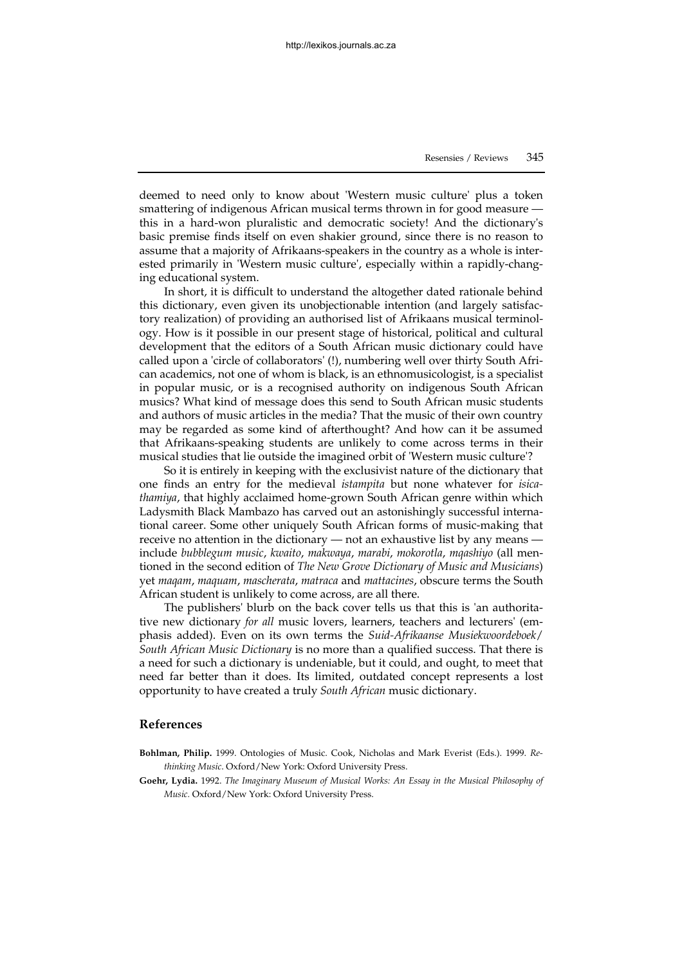deemed to need only to know about 'Western music culture' plus a token smattering of indigenous African musical terms thrown in for good measure this in a hard-won pluralistic and democratic society! And the dictionary's basic premise finds itself on even shakier ground, since there is no reason to assume that a majority of Afrikaans-speakers in the country as a whole is interested primarily in 'Western music culture', especially within a rapidly-changing educational system.

In short, it is difficult to understand the altogether dated rationale behind this dictionary, even given its unobjectionable intention (and largely satisfactory realization) of providing an authorised list of Afrikaans musical terminology. How is it possible in our present stage of historical, political and cultural development that the editors of a South African music dictionary could have called upon a 'circle of collaborators' (!), numbering well over thirty South African academics, not one of whom is black, is an ethnomusicologist, is a specialist in popular music, or is a recognised authority on indigenous South African musics? What kind of message does this send to South African music students and authors of music articles in the media? That the music of their own country may be regarded as some kind of afterthought? And how can it be assumed that Afrikaans-speaking students are unlikely to come across terms in their musical studies that lie outside the imagined orbit of 'Western music culture'?

So it is entirely in keeping with the exclusivist nature of the dictionary that one finds an entry for the medieval *istampita* but none whatever for *isicathamiya*, that highly acclaimed home-grown South African genre within which Ladysmith Black Mambazo has carved out an astonishingly successful international career. Some other uniquely South African forms of music-making that receive no attention in the dictionary — not an exhaustive list by any means include *bubblegum music*, *kwaito*, *makwaya*, *marabi*, *mokorotla*, *mqashiyo* (all mentioned in the second edition of *The New Grove Dictionary of Music and Musicians*) yet *maqam*, *maquam*, *mascherata*, *matraca* and *mattacines*, obscure terms the South African student is unlikely to come across, are all there.

The publishers' blurb on the back cover tells us that this is 'an authoritative new dictionary *for all* music lovers, learners, teachers and lecturers' (emphasis added). Even on its own terms the *Suid-Afrikaanse Musiekwoordeboek*/ *South African Music Dictionary* is no more than a qualified success. That there is a need for such a dictionary is undeniable, but it could, and ought, to meet that need far better than it does. Its limited, outdated concept represents a lost opportunity to have created a truly *South African* music dictionary.

## **References**

- **Bohlman, Philip.** 1999. Ontologies of Music. Cook, Nicholas and Mark Everist (Eds.). 1999. *Rethinking Music*. Oxford/New York: Oxford University Press.
- **Goehr, Lydia.** 1992. *The Imaginary Museum of Musical Works: An Essay in the Musical Philosophy of Music.* Oxford/New York: Oxford University Press.